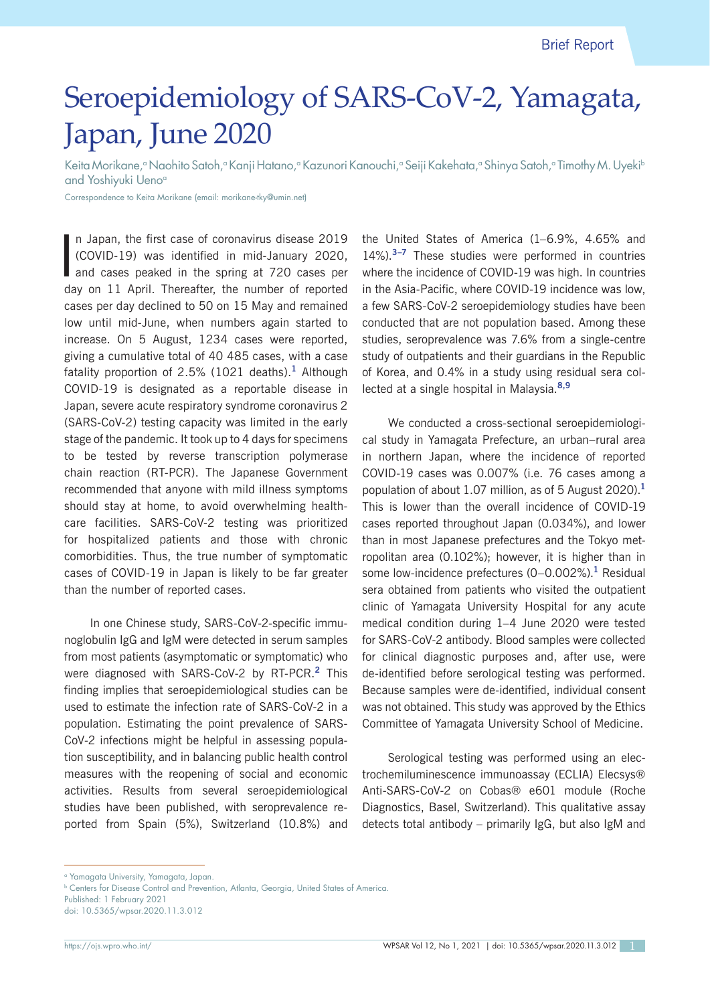# Seroepidemiology of SARS-CoV-2, Yamagata, Japan, June 2020

Keita Morikane,<sup>a</sup> Naohito Satoh,ª Kanji Hatano,ª Kazunori Kanouchi,ª Seiji Kakehata,ª Shinya Satoh,ª Timothy M. Uyeki<sup>s</sup> and Yoshiyuki Ueno<sup>a</sup>

Correspondence to Keita Morikane (email: morikane-tky@umin.net)

I n Japan, the first case of coronavirus disease 2019 (COVID-19) was identified in mid-January 2020, and cases peaked in the spring at 720 cases per day on 11 April. Thereafter, the number of reported cases per day declined to 50 on 15 May and remained low until mid-June, when numbers again started to increase. On 5 August, 1234 cases were reported, giving a cumulative total of 40 485 cases, with a case fatality proportion of 2.5% (1021 deaths).**<sup>1</sup>** Although COVID-19 is designated as a reportable disease in Japan, severe acute respiratory syndrome coronavirus 2 (SARS-CoV-2) testing capacity was limited in the early stage of the pandemic. It took up to 4 days for specimens to be tested by reverse transcription polymerase chain reaction (RT-PCR). The Japanese Government recommended that anyone with mild illness symptoms should stay at home, to avoid overwhelming healthcare facilities. SARS-CoV-2 testing was prioritized for hospitalized patients and those with chronic comorbidities. Thus, the true number of symptomatic cases of COVID-19 in Japan is likely to be far greater than the number of reported cases.

In one Chinese study, SARS-CoV-2-specific immunoglobulin IgG and IgM were detected in serum samples from most patients (asymptomatic or symptomatic) who were diagnosed with SARS-CoV-2 by RT-PCR.**<sup>2</sup>** This finding implies that seroepidemiological studies can be used to estimate the infection rate of SARS-CoV-2 in a population. Estimating the point prevalence of SARS-CoV-2 infections might be helpful in assessing population susceptibility, and in balancing public health control measures with the reopening of social and economic activities. Results from several seroepidemiological studies have been published, with seroprevalence reported from Spain (5%), Switzerland (10.8%) and

the United States of America (1–6.9%, 4.65% and 14%).**3–7** These studies were performed in countries where the incidence of COVID-19 was high. In countries in the Asia-Pacific, where COVID-19 incidence was low, a few SARS-CoV-2 seroepidemiology studies have been conducted that are not population based. Among these studies, seroprevalence was 7.6% from a single-centre study of outpatients and their guardians in the Republic of Korea, and 0.4% in a study using residual sera collected at a single hospital in Malaysia.**8,9**

We conducted a cross-sectional seroepidemiological study in Yamagata Prefecture, an urban–rural area in northern Japan, where the incidence of reported COVID-19 cases was 0.007% (i.e. 76 cases among a population of about 1.07 million, as of 5 August 2020).**<sup>1</sup>** This is lower than the overall incidence of COVID-19 cases reported throughout Japan (0.034%), and lower than in most Japanese prefectures and the Tokyo metropolitan area (0.102%); however, it is higher than in some low-incidence prefectures (0–0.002%).**<sup>1</sup>** Residual sera obtained from patients who visited the outpatient clinic of Yamagata University Hospital for any acute medical condition during 1–4 June 2020 were tested for SARS-CoV-2 antibody. Blood samples were collected for clinical diagnostic purposes and, after use, were de-identified before serological testing was performed. Because samples were de-identified, individual consent was not obtained. This study was approved by the Ethics Committee of Yamagata University School of Medicine.

Serological testing was performed using an electrochemiluminescence immunoassay (ECLIA) Elecsys® Anti-SARS-CoV-2 on Cobas® e601 module (Roche Diagnostics, Basel, Switzerland). This qualitative assay detects total antibody – primarily IgG, but also IgM and

Published: 1 February 2021

doi: 10.5365/wpsar.2020.11.3.012

a Yamagata University, Yamagata, Japan.

**b Centers for Disease Control and Prevention, Atlanta, Georgia, United States of America.**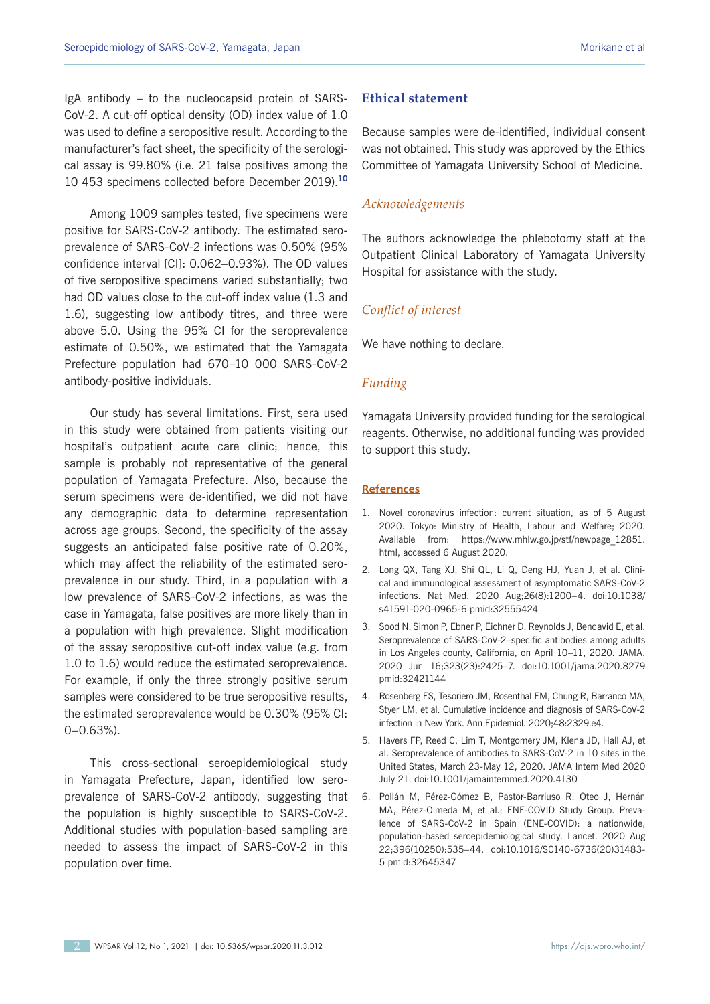IgA antibody – to the nucleocapsid protein of SARS-CoV-2. A cut-off optical density (OD) index value of 1.0 was used to define a seropositive result. According to the manufacturer's fact sheet, the specificity of the serological assay is 99.80% (i.e. 21 false positives among the 10 453 specimens collected before December 2019).**<sup>10</sup>**

Among 1009 samples tested, five specimens were positive for SARS-CoV-2 antibody. The estimated seroprevalence of SARS-CoV-2 infections was 0.50% (95% confidence interval [CI]: 0.062–0.93%). The OD values of five seropositive specimens varied substantially; two had OD values close to the cut-off index value (1.3 and 1.6), suggesting low antibody titres, and three were above 5.0. Using the 95% CI for the seroprevalence estimate of 0.50%, we estimated that the Yamagata Prefecture population had 670–10 000 SARS-CoV-2 antibody-positive individuals.

Our study has several limitations. First, sera used in this study were obtained from patients visiting our hospital's outpatient acute care clinic; hence, this sample is probably not representative of the general population of Yamagata Prefecture. Also, because the serum specimens were de-identified, we did not have any demographic data to determine representation across age groups. Second, the specificity of the assay suggests an anticipated false positive rate of 0.20%, which may affect the reliability of the estimated seroprevalence in our study. Third, in a population with a low prevalence of SARS-CoV-2 infections, as was the case in Yamagata, false positives are more likely than in a population with high prevalence. Slight modification of the assay seropositive cut-off index value (e.g. from 1.0 to 1.6) would reduce the estimated seroprevalence. For example, if only the three strongly positive serum samples were considered to be true seropositive results, the estimated seroprevalence would be 0.30% (95% CI: 0–0.63%).

This cross-sectional seroepidemiological study in Yamagata Prefecture, Japan, identified low seroprevalence of SARS-CoV-2 antibody, suggesting that the population is highly susceptible to SARS-CoV-2. Additional studies with population-based sampling are needed to assess the impact of SARS-CoV-2 in this population over time.

## **Ethical statement**

Because samples were de-identified, individual consent was not obtained. This study was approved by the Ethics Committee of Yamagata University School of Medicine.

## *Acknowledgements*

The authors acknowledge the phlebotomy staff at the Outpatient Clinical Laboratory of Yamagata University Hospital for assistance with the study.

### *Conflict of interest*

We have nothing to declare.

#### *Funding*

Yamagata University provided funding for the serological reagents. Otherwise, no additional funding was provided to support this study.

#### **References**

- 1. Novel coronavirus infection: current situation, as of 5 August 2020. Tokyo: Ministry of Health, Labour and Welfare; 2020. Available from: https://www.mhlw.go.jp/stf/newpage\_12851. html, accessed 6 August 2020.
- 2. Long QX, Tang XJ, Shi QL, Li Q, Deng HJ, Yuan J, et al. Clinical and immunological assessment of asymptomatic SARS-CoV-2 infections. Nat Med. 2020 Aug;26(8):1200–4. doi:10.1038/ s41591-020-0965-6 pmid:32555424
- 3. Sood N, Simon P, Ebner P, Eichner D, Reynolds J, Bendavid E, et al. Seroprevalence of SARS-CoV-2–specific antibodies among adults in Los Angeles county, California, on April 10–11, 2020. JAMA. 2020 Jun 16;323(23):2425–7. doi:10.1001/jama.2020.8279 pmid:32421144
- 4. Rosenberg ES, Tesoriero JM, Rosenthal EM, Chung R, Barranco MA, Styer LM, et al. Cumulative incidence and diagnosis of SARS-CoV-2 infection in New York. Ann Epidemiol. 2020;48:2329.e4.
- 5. Havers FP, Reed C, Lim T, Montgomery JM, Klena JD, Hall AJ, et al. Seroprevalence of antibodies to SARS-CoV-2 in 10 sites in the United States, March 23-May 12, 2020. JAMA Intern Med 2020 July 21. doi:10.1001/jamainternmed.2020.4130
- 6. Pollán M, Pérez-Gómez B, Pastor-Barriuso R, Oteo J, Hernán MA, Pérez-Olmeda M, et al.; ENE-COVID Study Group. Prevalence of SARS-CoV-2 in Spain (ENE-COVID): a nationwide, population-based seroepidemiological study. Lancet. 2020 Aug 22;396(10250):535–44. doi:10.1016/S0140-6736(20)31483- 5 pmid:32645347